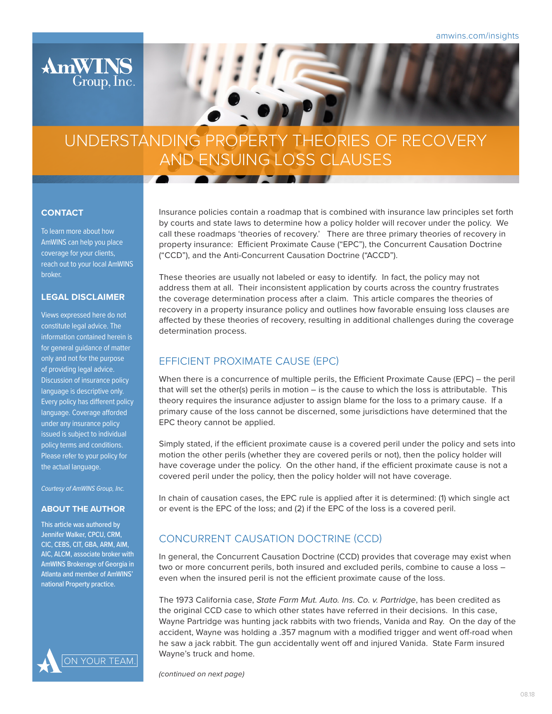



#### **CONTACT**

To learn more about how AmWINS can help you place coverage for your clients, reach out to your local AmWINS broker.

### **LEGAL DISCLAIMER**

Views expressed here do not constitute legal advice. The information contained herein is for general guidance of matter only and not for the purpose of providing legal advice. Discussion of insurance policy language is descriptive only. Every policy has different policy language. Coverage afforded under any insurance policy issued is subject to individual policy terms and conditions. Please refer to your policy for the actual language.

*Courtesy of AmWINS Group, Inc.*

#### **ABOUT THE AUTHOR**

This article was authored by Jennifer Walker, CPCU, CRM, CIC, CEBS, CIT, GBA, ARM, AIM, AIC, ALCM, associate broker with AmWINS Brokerage of Georgia in Atlanta and member of AmWINS' national Property practice.



Insurance policies contain a roadmap that is combined with insurance law principles set forth by courts and state laws to determine how a policy holder will recover under the policy. We call these roadmaps 'theories of recovery.' There are three primary theories of recovery in property insurance: Efficient Proximate Cause ("EPC"), the Concurrent Causation Doctrine ("CCD"), and the Anti-Concurrent Causation Doctrine ("ACCD").

These theories are usually not labeled or easy to identify. In fact, the policy may not address them at all. Their inconsistent application by courts across the country frustrates the coverage determination process after a claim. This article compares the theories of recovery in a property insurance policy and outlines how favorable ensuing loss clauses are affected by these theories of recovery, resulting in additional challenges during the coverage determination process.

## EFFICIENT PROXIMATE CAUSE (EPC)

When there is a concurrence of multiple perils, the Efficient Proximate Cause (EPC) – the peril that will set the other(s) perils in motion – is the cause to which the loss is attributable. This theory requires the insurance adjuster to assign blame for the loss to a primary cause. If a primary cause of the loss cannot be discerned, some jurisdictions have determined that the EPC theory cannot be applied.

Simply stated, if the efficient proximate cause is a covered peril under the policy and sets into motion the other perils (whether they are covered perils or not), then the policy holder will have coverage under the policy. On the other hand, if the efficient proximate cause is not a covered peril under the policy, then the policy holder will not have coverage.

In chain of causation cases, the EPC rule is applied after it is determined: (1) which single act or event is the EPC of the loss; and (2) if the EPC of the loss is a covered peril.

# CONCURRENT CAUSATION DOCTRINE (CCD)

In general, the Concurrent Causation Doctrine (CCD) provides that coverage may exist when two or more concurrent perils, both insured and excluded perils, combine to cause a loss – even when the insured peril is not the efficient proximate cause of the loss.

The 1973 California case, *State Farm Mut. Auto. Ins. Co. v. Partridge*, has been credited as the original CCD case to which other states have referred in their decisions. In this case, Wayne Partridge was hunting jack rabbits with two friends, Vanida and Ray. On the day of the accident, Wayne was holding a .357 magnum with a modified trigger and went off-road when he saw a jack rabbit. The gun accidentally went off and injured Vanida. State Farm insured Wayne's truck and home.

*(continued on next page)*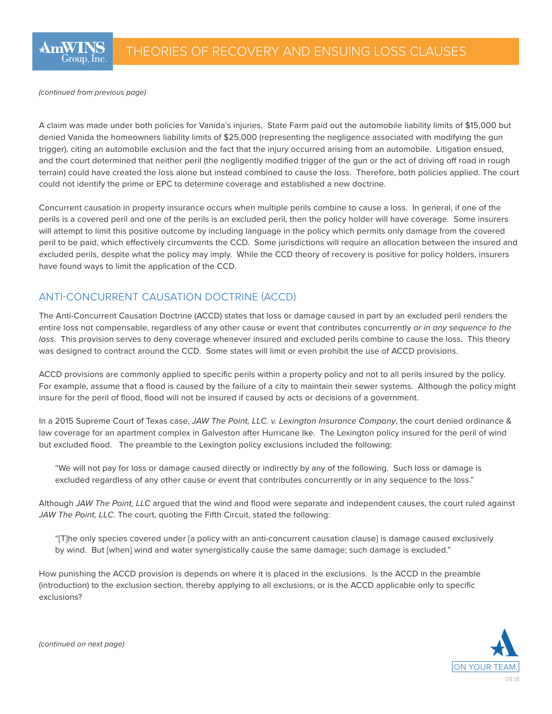*(continued from previous page)*

A claim was made under both policies for Vanida's injuries. State Farm paid out the automobile liability limits of \$15,000 but denied Vanida the homeowners liability limits of \$25,000 (representing the negligence associated with modifying the gun trigger), citing an automobile exclusion and the fact that the injury occurred arising from an automobile. Litigation ensued, and the court determined that neither peril (the negligently modified trigger of the gun or the act of driving off road in rough terrain) could have created the loss alone but instead combined to cause the loss. Therefore, both policies applied. The court could not identify the prime or EPC to determine coverage and established a new doctrine.

Concurrent causation in property insurance occurs when multiple perils combine to cause a loss. In general, if one of the perils is a covered peril and one of the perils is an excluded peril, then the policy holder will have coverage. Some insurers will attempt to limit this positive outcome by including language in the policy which permits only damage from the covered peril to be paid, which effectively circumvents the CCD. Some jurisdictions will require an allocation between the insured and excluded perils, despite what the policy may imply. While the CCD theory of recovery is positive for policy holders, insurers have found ways to limit the application of the CCD.

# ANTI-CONCURRENT CAUSATION DOCTRINE (ACCD)

The Anti-Concurrent Causation Doctrine (ACCD) states that loss or damage caused in part by an excluded peril renders the entire loss not compensable, regardless of any other cause or event that contributes concurrently *or in any sequence to the loss*. This provision serves to deny coverage whenever insured and excluded perils combine to cause the loss. This theory was designed to contract around the CCD. Some states will limit or even prohibit the use of ACCD provisions.

ACCD provisions are commonly applied to specific perils within a property policy and not to all perils insured by the policy. For example, assume that a flood is caused by the failure of a city to maintain their sewer systems. Although the policy might insure for the peril of flood, flood will not be insured if caused by acts or decisions of a government.

In a 2015 Supreme Court of Texas case, *JAW The Point, LLC. v. Lexington Insurance Company*, the court denied ordinance & law coverage for an apartment complex in Galveston after Hurricane Ike. The Lexington policy insured for the peril of wind but excluded flood. The preamble to the Lexington policy exclusions included the following:

"We will not pay for loss or damage caused directly or indirectly by any of the following. Such loss or damage is excluded regardless of any other cause or event that contributes concurrently or in any sequence to the loss."

Although *JAW The Point, LLC* argued that the wind and flood were separate and independent causes, the court ruled against *JAW The Point, LLC*. The court, quoting the Fifth Circuit, stated the following:

"[T]he only species covered under [a policy with an anti-concurrent causation clause] is damage caused exclusively by wind. But [when] wind and water synergistically cause the same damage; such damage is excluded."

How punishing the ACCD provision is depends on where it is placed in the exclusions. Is the ACCD in the preamble (introduction) to the exclusion section, thereby applying to all exclusions, or is the ACCD applicable only to specific exclusions?



*(continued on next page)*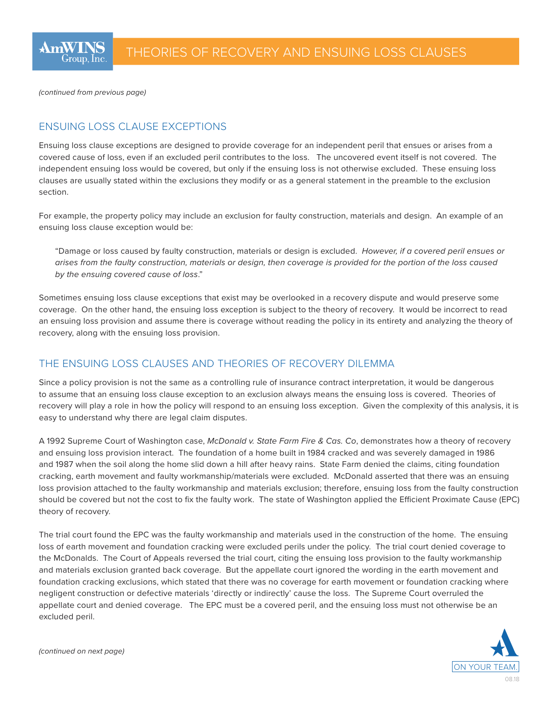*(continued from previous page)*

# ENSUING LOSS CLAUSE EXCEPTIONS

Ensuing loss clause exceptions are designed to provide coverage for an independent peril that ensues or arises from a covered cause of loss, even if an excluded peril contributes to the loss. The uncovered event itself is not covered. The independent ensuing loss would be covered, but only if the ensuing loss is not otherwise excluded. These ensuing loss clauses are usually stated within the exclusions they modify or as a general statement in the preamble to the exclusion section.

For example, the property policy may include an exclusion for faulty construction, materials and design. An example of an ensuing loss clause exception would be:

"Damage or loss caused by faulty construction, materials or design is excluded. *However, if a covered peril ensues or arises from the faulty construction, materials or design, then coverage is provided for the portion of the loss caused by the ensuing covered cause of loss*."

Sometimes ensuing loss clause exceptions that exist may be overlooked in a recovery dispute and would preserve some coverage. On the other hand, the ensuing loss exception is subject to the theory of recovery. It would be incorrect to read an ensuing loss provision and assume there is coverage without reading the policy in its entirety and analyzing the theory of recovery, along with the ensuing loss provision.

# THE ENSUING LOSS CLAUSES AND THEORIES OF RECOVERY DILEMMA

Since a policy provision is not the same as a controlling rule of insurance contract interpretation, it would be dangerous to assume that an ensuing loss clause exception to an exclusion always means the ensuing loss is covered. Theories of recovery will play a role in how the policy will respond to an ensuing loss exception. Given the complexity of this analysis, it is easy to understand why there are legal claim disputes.

A 1992 Supreme Court of Washington case, *McDonald v. State Farm Fire & Cas. Co*, demonstrates how a theory of recovery and ensuing loss provision interact. The foundation of a home built in 1984 cracked and was severely damaged in 1986 and 1987 when the soil along the home slid down a hill after heavy rains. State Farm denied the claims, citing foundation cracking, earth movement and faulty workmanship/materials were excluded. McDonald asserted that there was an ensuing loss provision attached to the faulty workmanship and materials exclusion; therefore, ensuing loss from the faulty construction should be covered but not the cost to fix the faulty work. The state of Washington applied the Efficient Proximate Cause (EPC) theory of recovery.

The trial court found the EPC was the faulty workmanship and materials used in the construction of the home. The ensuing loss of earth movement and foundation cracking were excluded perils under the policy. The trial court denied coverage to the McDonalds. The Court of Appeals reversed the trial court, citing the ensuing loss provision to the faulty workmanship and materials exclusion granted back coverage. But the appellate court ignored the wording in the earth movement and foundation cracking exclusions, which stated that there was no coverage for earth movement or foundation cracking where negligent construction or defective materials 'directly or indirectly' cause the loss. The Supreme Court overruled the appellate court and denied coverage. The EPC must be a covered peril, and the ensuing loss must not otherwise be an excluded peril.



*(continued on next page)*